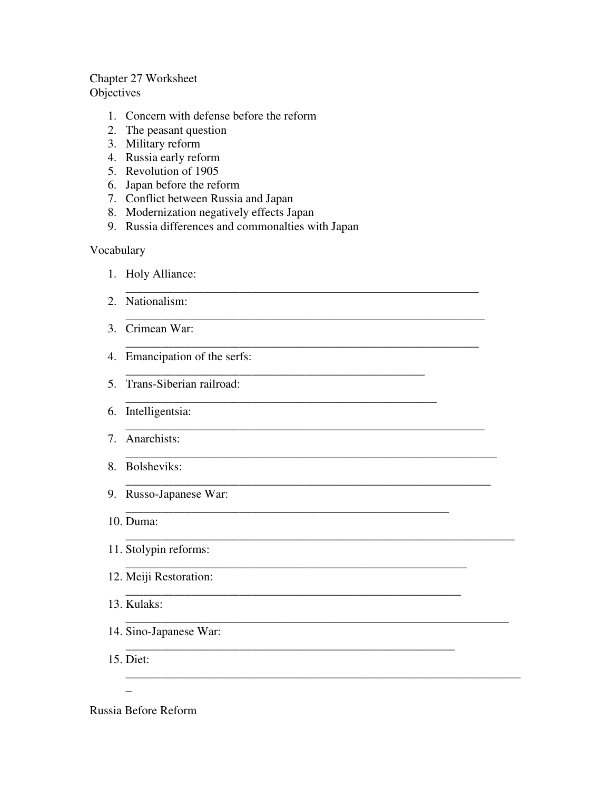#### Chapter 27 Worksheet **Objectives**

- 1. Concern with defense before the reform
- 2. The peasant question
- 3. Military reform
- 4. Russia early reform
- 5. Revolution of 1905
- 6. Japan before the reform
- 7. Conflict between Russia and Japan
- 8. Modernization negatively effects Japan
- 9. Russia differences and commonalties with Japan

\_\_\_\_\_\_\_\_\_\_\_\_\_\_\_\_\_\_\_\_\_\_\_\_\_\_\_\_\_\_\_\_\_\_\_\_\_\_\_\_\_\_\_\_\_\_\_\_\_\_\_\_\_\_\_\_\_\_\_

\_\_\_\_\_\_\_\_\_\_\_\_\_\_\_\_\_\_\_\_\_\_\_\_\_\_\_\_\_\_\_\_\_\_\_\_\_\_\_\_\_\_\_\_\_\_\_\_\_\_\_\_\_\_\_\_\_\_\_\_

\_\_\_\_\_\_\_\_\_\_\_\_\_\_\_\_\_\_\_\_\_\_\_\_\_\_\_\_\_\_\_\_\_\_\_\_\_\_\_\_\_\_\_\_\_\_\_\_\_\_\_\_\_\_\_\_\_\_\_

\_\_\_\_\_\_\_\_\_\_\_\_\_\_\_\_\_\_\_\_\_\_\_\_\_\_\_\_\_\_\_\_\_\_\_\_\_\_\_\_\_\_\_\_\_\_\_\_\_\_\_\_\_\_\_\_\_\_\_\_

\_\_\_\_\_\_\_\_\_\_\_\_\_\_\_\_\_\_\_\_\_\_\_\_\_\_\_\_\_\_\_\_\_\_\_\_\_\_\_\_\_\_\_\_\_\_\_\_\_\_\_\_\_\_\_\_\_\_\_\_\_\_

\_\_\_\_\_\_\_\_\_\_\_\_\_\_\_\_\_\_\_\_\_\_\_\_\_\_\_\_\_\_\_\_\_\_\_\_\_\_\_\_\_\_\_\_\_\_\_\_\_\_\_\_\_\_\_\_\_\_\_\_\_

\_\_\_\_\_\_\_\_\_\_\_\_\_\_\_\_\_\_\_\_\_\_\_\_\_\_\_\_\_\_\_\_\_\_\_\_\_\_\_\_\_\_\_\_\_\_\_\_\_\_\_\_\_\_\_\_\_\_\_\_\_\_\_\_\_

\_\_\_\_\_\_\_\_\_\_\_\_\_\_\_\_\_\_\_\_\_\_\_\_\_\_\_\_\_\_\_\_\_\_\_\_\_\_\_\_\_\_\_\_\_\_\_\_\_\_\_\_\_\_\_\_\_\_\_\_\_\_\_\_

\_\_\_\_\_\_\_\_\_\_\_\_\_\_\_\_\_\_\_\_\_\_\_\_\_\_\_\_\_\_\_\_\_\_\_\_\_\_\_\_\_\_\_\_\_\_\_\_\_\_\_\_\_\_\_\_\_\_\_\_\_\_\_\_\_\_

\_\_\_\_\_\_\_\_\_\_\_\_\_\_\_\_\_\_\_\_\_\_\_\_\_\_\_\_\_\_\_\_\_\_\_\_\_\_\_\_\_\_\_\_\_\_\_\_\_\_\_\_\_\_

\_\_\_\_\_\_\_\_\_\_\_\_\_\_\_\_\_\_\_\_\_\_\_\_\_\_\_\_\_\_\_\_\_\_\_\_\_\_\_\_\_\_\_\_\_\_\_\_\_\_\_\_\_\_\_\_\_

\_\_\_\_\_\_\_\_\_\_\_\_\_\_\_\_\_\_\_\_\_\_\_\_\_\_\_\_\_\_\_\_\_\_\_\_\_\_\_\_\_\_\_\_\_\_\_\_\_\_\_\_\_\_\_\_

\_\_\_\_\_\_\_\_\_\_\_\_\_\_\_\_\_\_\_\_\_\_\_\_\_\_\_\_\_\_\_\_\_\_\_\_\_\_\_\_\_\_\_\_\_\_\_\_\_\_\_\_\_\_\_

\_\_\_\_\_\_\_\_\_\_\_\_\_\_\_\_\_\_\_\_\_\_\_\_\_\_\_\_\_\_\_\_\_\_\_\_\_\_\_\_\_\_\_\_\_\_\_\_\_\_

\_\_\_\_\_\_\_\_\_\_\_\_\_\_\_\_\_\_\_\_\_\_\_\_\_\_\_\_\_\_\_\_\_\_\_\_\_\_\_\_\_\_\_\_\_\_\_\_\_\_\_\_

#### Vocabulary

- 1. Holy Alliance:
- 2. Nationalism:
- 3. Crimean War:
- 4. Emancipation of the serfs:
- 5. Trans-Siberian railroad:
- 6. Intelligentsia:
- 7. Anarchists:
- 8. Bolsheviks:
- 9. Russo-Japanese War:
- 10. Duma:
- 11. Stolypin reforms:
- 12. Meiji Restoration:
- 13. Kulaks:
- 14. Sino-Japanese War:
- 15. Diet:

 $\overline{a}$ 

Russia Before Reform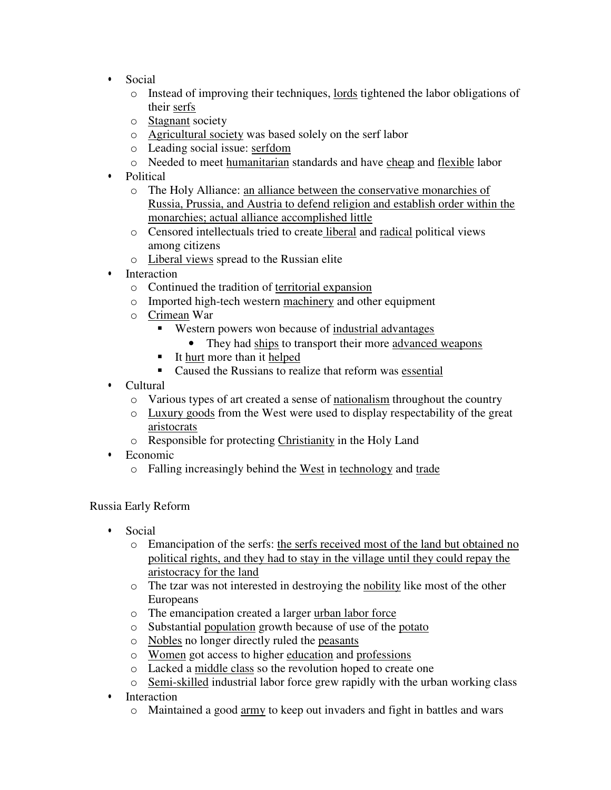- Social
	- o Instead of improving their techniques, lords tightened the labor obligations of their serfs
	- o Stagnant society
	- o Agricultural society was based solely on the serf labor
	- o Leading social issue: serfdom
	- o Needed to meet humanitarian standards and have cheap and flexible labor
- Political
	- o The Holy Alliance: an alliance between the conservative monarchies of Russia, Prussia, and Austria to defend religion and establish order within the monarchies; actual alliance accomplished little
	- o Censored intellectuals tried to create liberal and radical political views among citizens
	- o Liberal views spread to the Russian elite
- Interaction
	- o Continued the tradition of territorial expansion
	- o Imported high-tech western machinery and other equipment
	- o Crimean War
		- Western powers won because of industrial advantages
			- They had ships to transport their more advanced weapons
		- It hurt more than it helped
		- Caused the Russians to realize that reform was essential
- Cultural
	- o Various types of art created a sense of nationalism throughout the country
	- o Luxury goods from the West were used to display respectability of the great aristocrats
	- o Responsible for protecting Christianity in the Holy Land
- Economic
	- o Falling increasingly behind the West in technology and trade

#### Russia Early Reform

- Social
	- o Emancipation of the serfs: the serfs received most of the land but obtained no political rights, and they had to stay in the village until they could repay the aristocracy for the land
	- o The tzar was not interested in destroying the nobility like most of the other Europeans
	- o The emancipation created a larger urban labor force
	- o Substantial population growth because of use of the potato
	- o Nobles no longer directly ruled the peasants
	- o Women got access to higher education and professions
	- o Lacked a middle class so the revolution hoped to create one
	- o Semi-skilled industrial labor force grew rapidly with the urban working class
- Interaction
	- o Maintained a good army to keep out invaders and fight in battles and wars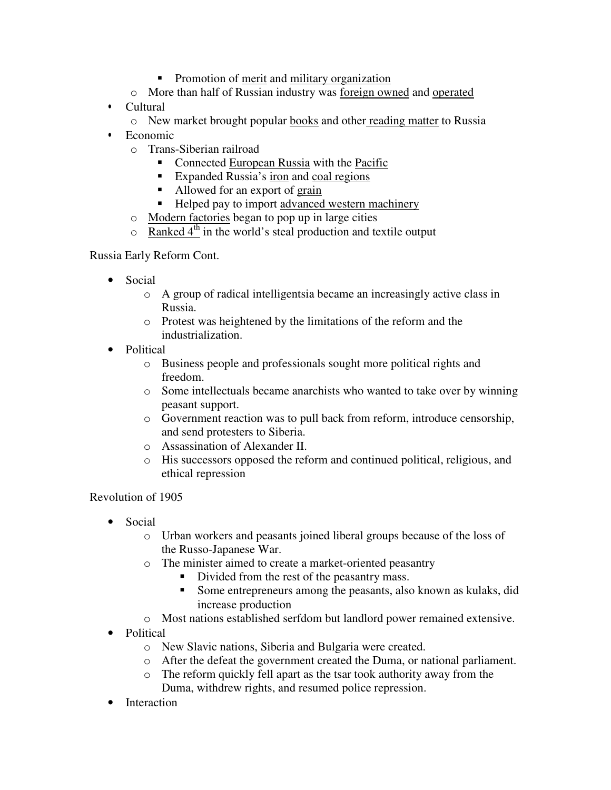- Promotion of merit and military organization
- o More than half of Russian industry was foreign owned and operated
- Cultural
	- o New market brought popular books and other reading matter to Russia
- Economic
	- o Trans-Siberian railroad
		- Connected European Russia with the Pacific
		- Expanded Russia's iron and coal regions
		- Allowed for an export of grain
		- Helped pay to import advanced western machinery
	- o Modern factories began to pop up in large cities
	- $\circ$  Ranked 4<sup>th</sup> in the world's steal production and textile output

Russia Early Reform Cont.

- Social
	- o A group of radical intelligentsia became an increasingly active class in Russia.
	- o Protest was heightened by the limitations of the reform and the industrialization.
- Political
	- o Business people and professionals sought more political rights and freedom.
	- o Some intellectuals became anarchists who wanted to take over by winning peasant support.
	- o Government reaction was to pull back from reform, introduce censorship, and send protesters to Siberia.
	- o Assassination of Alexander II.
	- o His successors opposed the reform and continued political, religious, and ethical repression

### Revolution of 1905

- Social
	- o Urban workers and peasants joined liberal groups because of the loss of the Russo-Japanese War.
	- o The minister aimed to create a market-oriented peasantry
		- Divided from the rest of the peasantry mass.
		- Some entrepreneurs among the peasants, also known as kulaks, did increase production
	- o Most nations established serfdom but landlord power remained extensive.
- Political
	- o New Slavic nations, Siberia and Bulgaria were created.
	- o After the defeat the government created the Duma, or national parliament.
	- o The reform quickly fell apart as the tsar took authority away from the Duma, withdrew rights, and resumed police repression.
- **Interaction**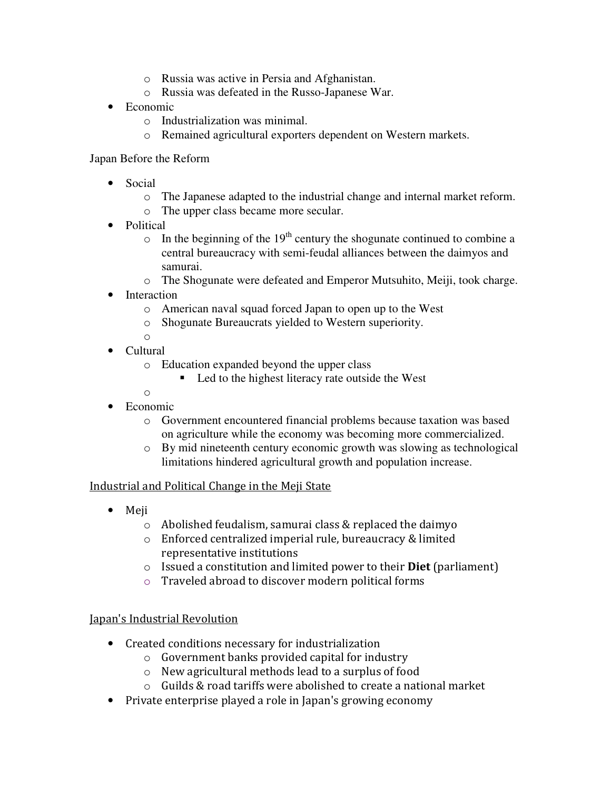- o Russia was active in Persia and Afghanistan.
- o Russia was defeated in the Russo-Japanese War.
- Economic
	- o Industrialization was minimal.
	- o Remained agricultural exporters dependent on Western markets.

### Japan Before the Reform

- Social
	- o The Japanese adapted to the industrial change and internal market reform.
	- o The upper class became more secular.
- Political
	- $\circ$  In the beginning of the 19<sup>th</sup> century the shogunate continued to combine a central bureaucracy with semi-feudal alliances between the daimyos and samurai.
	- o The Shogunate were defeated and Emperor Mutsuhito, Meiji, took charge.
- Interaction
	- o American naval squad forced Japan to open up to the West
	- o Shogunate Bureaucrats yielded to Western superiority.
	- o
- Cultural
	- o Education expanded beyond the upper class
		- Led to the highest literacy rate outside the West
- o • Economic
	- o Government encountered financial problems because taxation was based on agriculture while the economy was becoming more commercialized.
	- o By mid nineteenth century economic growth was slowing as technological limitations hindered agricultural growth and population increase.

### Industrial and Political Change in the Meji State

- Meji
	- o Abolished feudalism, samurai class & replaced the daimyo
	- o Enforced centralized imperial rule, bureaucracy & limited representative institutions
	- $\circ$  Issued a constitution and limited power to their **Diet** (parliament)
	- o Traveled abroad to discover modern political forms

# Japan's Industrial Revolution

- Created conditions necessary for industrialization
	- o Government banks provided capital for industry
	- o New agricultural methods lead to a surplus of food
	- o Guilds & road tariffs were abolished to create a national market
- Private enterprise played a role in Japan's growing economy